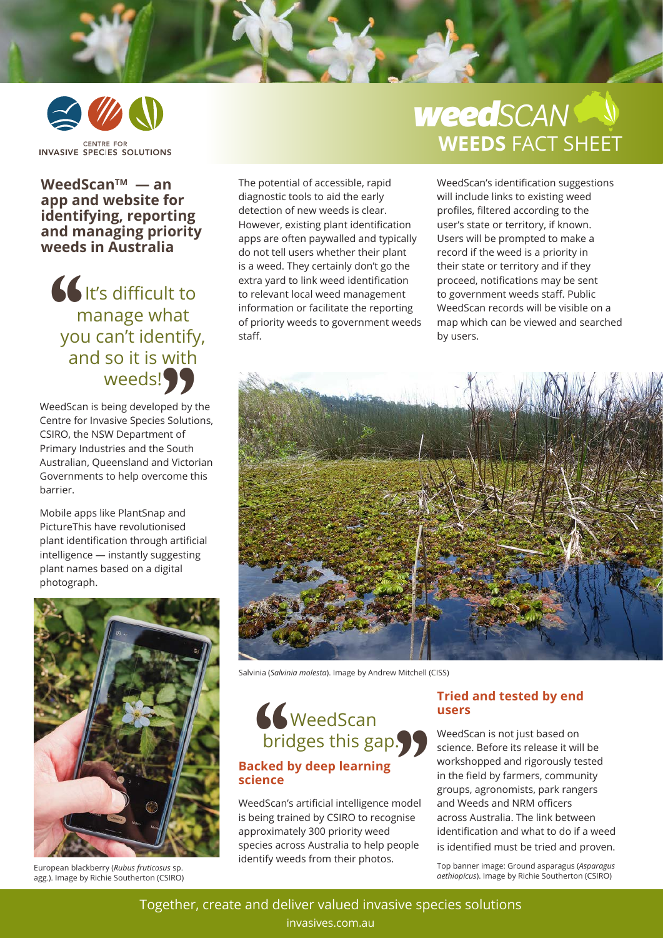

### **WeedScanTM — an app and website for identifying, reporting and managing priority weeds in Australia**

**b** It's difficult to manage what you can't identify, and so it is with weeds!  $\frac{1}{\frac{1}{\pi}}$ ntify<br>
with<br> **)** 

WeedScan is being developed by the Centre for Invasive Species Solutions, CSIRO, the NSW Department of Primary Industries and the South Australian, Queensland and Victorian Governments to help overcome this barrier.

Mobile apps like PlantSnap and PictureThis have revolutionised plant identification through artificial intelligence — instantly suggesting plant names based on a digital photograph.



European blackberry (*Rubus fruticosus* sp. agg*.*). Image by Richie Southerton (CSIRO)

The potential of accessible, rapid diagnostic tools to aid the early detection of new weeds is clear. However, existing plant identification apps are often paywalled and typically do not tell users whether their plant is a weed. They certainly don't go the extra yard to link weed identification to relevant local weed management information or facilitate the reporting of priority weeds to government weeds staff.

# **WEEDS** FACT SHEET *weedSCAN*

WeedScan's identification suggestions will include links to existing weed profiles, filtered according to the user's state or territory, if known. Users will be prompted to make a record if the weed is a priority in their state or territory and if they proceed, notifications may be sent to government weeds staff. Public WeedScan records will be visible on a map which can be viewed and searched by users.



Salvinia (*Salvinia molesta*). Image by Andrew Mitchell (CISS)

# WeedScan Suite WeedScan<br>
bridges this gap. **Backed by deep learning science**  Solaries

WeedScan's artificial intelligence model is being trained by CSIRO to recognise approximately 300 priority weed species across Australia to help people identify weeds from their photos.

#### **Tried and tested by end users**

WeedScan is not just based on science. Before its release it will be workshopped and rigorously tested in the field by farmers, community groups, agronomists, park rangers and Weeds and NRM officers across Australia. The link between identification and what to do if a weed is identified must be tried and proven.

Top banner image: Ground asparagus (*Asparagus aethiopicus*). Image by Richie Southerton (CSIRO)

Together, create and deliver valued invasive species solutions invasives.com.au